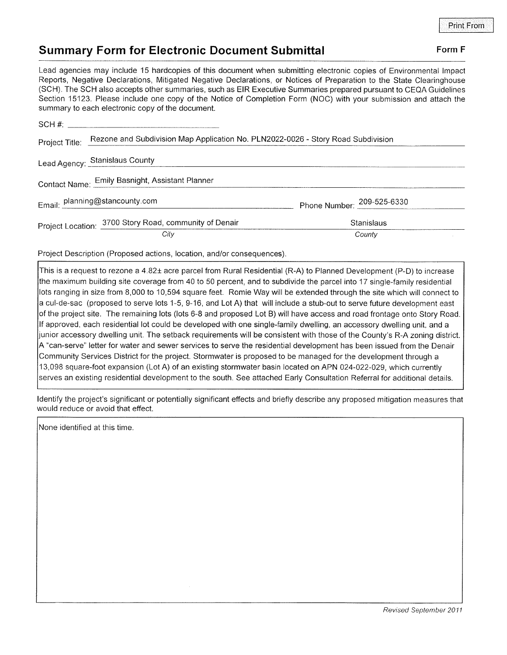## Summary Form for Electronic Document Submittal Form F

Lead agencies may include 15 hardcopies of this document when submitting electronic copies of Environmental lmpact Reports, Negative Declarations, Mitigated Negative Declarations, or Notices of Preparation to the State Clearinghouse (SCH). The SCH also accepts other summaries, such as EIR Executive Summaries prepared pursuant to CEQA Guidelines Section 15123. Please include one copy of the Notice of Completion Form (NOC) with your submission and attach the summary to each electronic copy of the document.

|                                                 | Project Title: Rezone and Subdivision Map Application No. PLN2022-0026 - Story Road Subdivision |                            |
|-------------------------------------------------|-------------------------------------------------------------------------------------------------|----------------------------|
|                                                 | Lead Agency: Stanislaus County                                                                  |                            |
| Contact Name: Emily Basnight, Assistant Planner |                                                                                                 |                            |
|                                                 | Email: planning@stancounty.com                                                                  | Phone Number: 209-525-6330 |
|                                                 | Project Location: 3700 Story Road, community of Denair                                          | Stanislaus                 |
|                                                 | City                                                                                            | County                     |

Project Description (Proposed actions, location, and/or consequences)

This is a request to rezone a 4.82± acre parcel from Rural Residential (R-A) to Planned Development (P-D) to increase the maximum building site coverage from 40 to 50 percent, and to subdivide the parcel into 17 single-family residential lots ranging in size from 8,000 to 10,594 square feet. Romie Way will be extended through the site which will connect to a cul-de-sac (proposed to serve lots 1-5, 9-16, and Lot A) that will include a stub-out to serve future development east of the project site. The remaining lots (lots 6-8 and proposed Lot B) will have access and road frontage onto Story Road. lf approved, each residential lot could be developed with one slngle-family dwelling, an accessory dwelling unit, and a junior accessory dwelling unit. The setback requirements will be consistent with those of the County's R-A zoning district. "can-serve" letter for water and sewer services to serve the residential development has been issued from the Denair Community Services District for the project. Stormwater is proposed to be managed for the development through a 13,098 square-foot expansion (Lot A) of an existing stormwater basin located on APN 024-022-029, which currently serves an existing residential development to the south. See attached Early Consultation Referral for additional details.

ldentify the project's significant or potentially significant effects and briefly describe any proposed mitigation measures that would reduce or avoid that effect.

None identified at this time